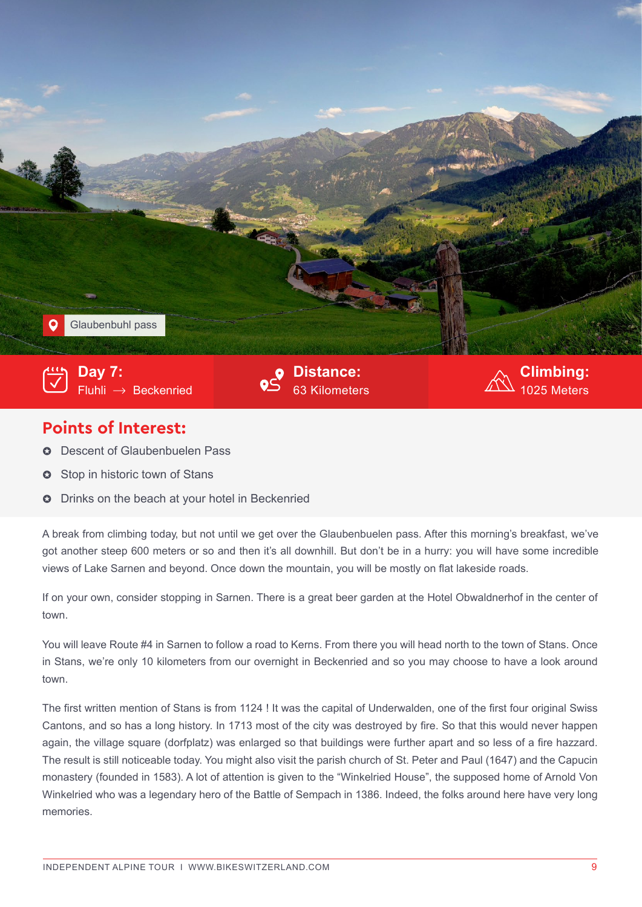

## **Points of Interest:**

- $\circ$  Descent of Glaubenbuelen Pass
- **3** Stop in historic town of Stans
- $\circ$  Drinks on the beach at your hotel in Beckenried

A break from climbing today, but not until we get over the Glaubenbuelen pass. After this morning's breakfast, we've got another steep 600 meters or so and then it's all downhill. But don't be in a hurry: you will have some incredible views of Lake Sarnen and beyond. Once down the mountain, you will be mostly on flat lakeside roads.

If on your own, consider stopping in Sarnen. There is a great beer garden at the Hotel Obwaldnerhof in the center of town.

You will leave Route #4 in Sarnen to follow a road to Kerns. From there you will head north to the town of Stans. Once in Stans, we're only 10 kilometers from our overnight in Beckenried and so you may choose to have a look around town.

The first written mention of Stans is from 1124 ! It was the capital of Underwalden, one of the first four original Swiss Cantons, and so has a long history. In 1713 most of the city was destroyed by fire. So that this would never happen again, the village square (dorfplatz) was enlarged so that buildings were further apart and so less of a fire hazzard. The result is still noticeable today. You might also visit the parish church of St. Peter and Paul (1647) and the Capucin monastery (founded in 1583). A lot of attention is given to the "Winkelried House", the supposed home of Arnold Von Winkelried who was a legendary hero of the Battle of Sempach in 1386. Indeed, the folks around here have very long memories.